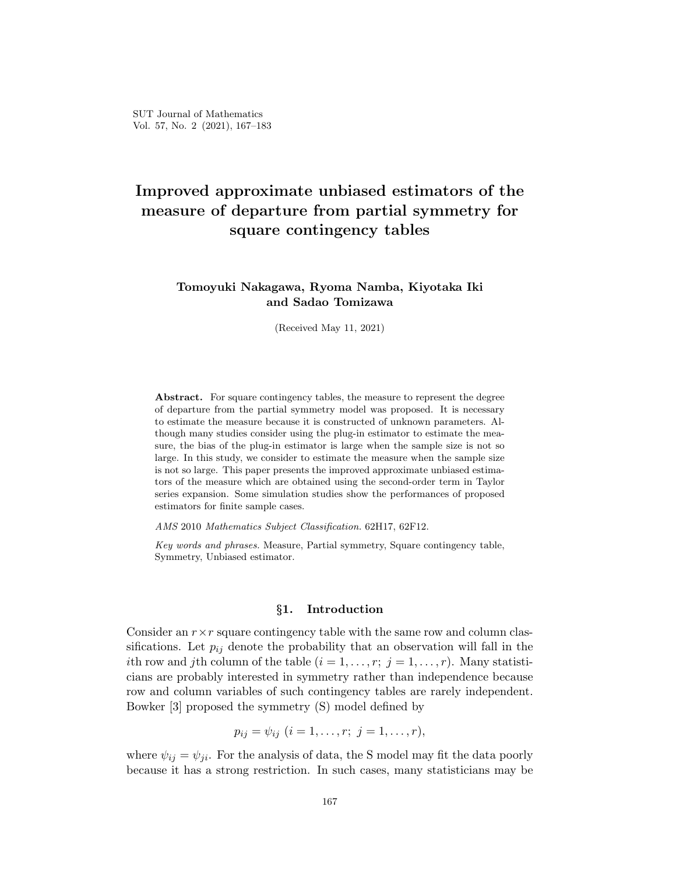# **Improved approximate unbiased estimators of the measure of departure from partial symmetry for square contingency tables**

## **Tomoyuki Nakagawa, Ryoma Namba, Kiyotaka Iki and Sadao Tomizawa**

(Received May 11, 2021)

Abstract. For square contingency tables, the measure to represent the degree of departure from the partial symmetry model was proposed. It is necessary to estimate the measure because it is constructed of unknown parameters. Although many studies consider using the plug-in estimator to estimate the measure, the bias of the plug-in estimator is large when the sample size is not so large. In this study, we consider to estimate the measure when the sample size is not so large. This paper presents the improved approximate unbiased estimators of the measure which are obtained using the second-order term in Taylor series expansion. Some simulation studies show the performances of proposed estimators for finite sample cases.

*AMS* 2010 *Mathematics Subject Classification.* 62H17, 62F12.

*Key words and phrases.* Measure, Partial symmetry, Square contingency table, Symmetry, Unbiased estimator.

#### *§***1. Introduction**

Consider an  $r \times r$  square contingency table with the same row and column classifications. Let  $p_{ij}$  denote the probability that an observation will fall in the *i*th row and *j*th column of the table  $(i = 1, \ldots, r; j = 1, \ldots, r)$ . Many statisticians are probably interested in symmetry rather than independence because row and column variables of such contingency tables are rarely independent. Bowker [[3\]](#page-8-0) proposed the symmetry (S) model defined by

$$
p_{ij} = \psi_{ij} \ (i = 1, \ldots, r; \ j = 1, \ldots, r),
$$

where  $\psi_{ij} = \psi_{ji}$ . For the analysis of data, the S model may fit the data poorly because it has a strong restriction. In such cases, many statisticians may be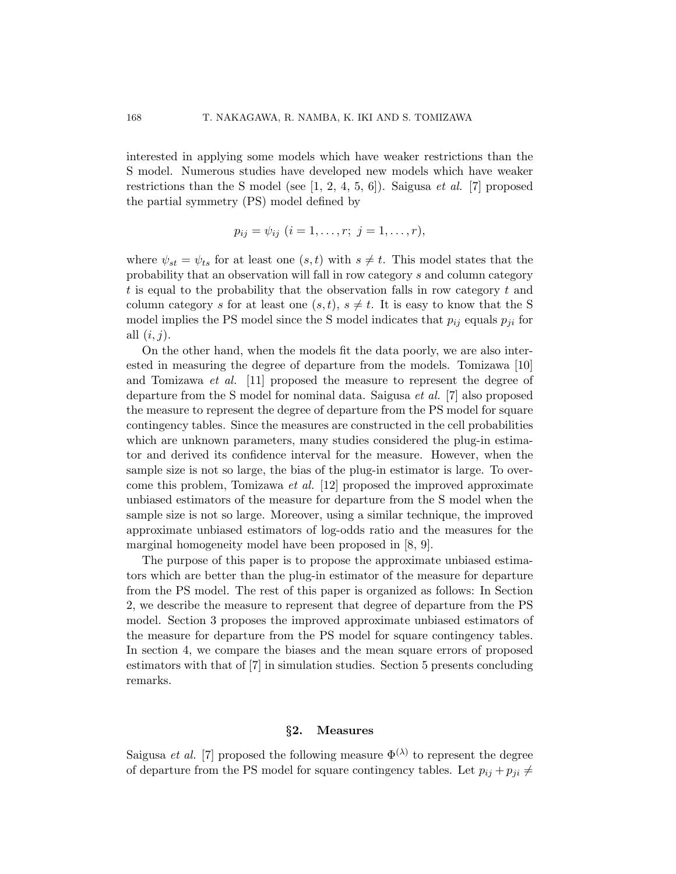interested in applying some models which have weaker restrictions than the S model. Numerous studies have developed new models which have weaker restrictions than the S model (see [[1](#page-8-1), [2,](#page-8-2) [4](#page-8-3), [5,](#page-8-4) [6\]](#page-8-5)). Saigusa *et al.* [[7](#page-8-6)] proposed the partial symmetry (PS) model defined by

$$
p_{ij} = \psi_{ij} \ (i = 1, \ldots, r; \ j = 1, \ldots, r),
$$

where  $\psi_{st} = \psi_{ts}$  for at least one  $(s, t)$  with  $s \neq t$ . This model states that the probability that an observation will fall in row category *s* and column category *t* is equal to the probability that the observation falls in row category *t* and column category *s* for at least one  $(s, t)$ ,  $s \neq t$ . It is easy to know that the S model implies the PS model since the S model indicates that  $p_{ij}$  equals  $p_{ji}$  for all (*i, j*).

On the other hand, when the models fit the data poorly, we are also interested in measuring the degree of departure from the models. Tomizawa [[10\]](#page-8-7) and Tomizawa *et al.* [\[11](#page-8-8)] proposed the measure to represent the degree of departure from the S model for nominal data. Saigusa *et al.* [[7](#page-8-6)] also proposed the measure to represent the degree of departure from the PS model for square contingency tables. Since the measures are constructed in the cell probabilities which are unknown parameters, many studies considered the plug-in estimator and derived its confidence interval for the measure. However, when the sample size is not so large, the bias of the plug-in estimator is large. To overcome this problem, Tomizawa *et al.* [[12\]](#page-9-0) proposed the improved approximate unbiased estimators of the measure for departure from the S model when the sample size is not so large. Moreover, using a similar technique, the improved approximate unbiased estimators of log-odds ratio and the measures for the marginal homogeneity model have been proposed in [[8,](#page-8-9) [9\]](#page-8-10).

The purpose of this paper is to propose the approximate unbiased estimators which are better than the plug-in estimator of the measure for departure from the PS model. The rest of this paper is organized as follows: In Section [2,](#page-1-0) we describe the measure to represent that degree of departure from the PS model. Section [3](#page-2-0) proposes the improved approximate unbiased estimators of the measure for departure from the PS model for square contingency tables. In section [4](#page-5-0), we compare the biases and the mean square errors of proposed estimators with that of [\[7\]](#page-8-6) in simulation studies. Section [5](#page-6-0) presents concluding remarks.

#### *§***2. Measures**

<span id="page-1-0"></span>Saigusa *et al.* [[7](#page-8-6)] proposed the following measure  $\Phi^{(\lambda)}$  to represent the degree of departure from the PS model for square contingency tables. Let  $p_{ij} + p_{ji} \neq$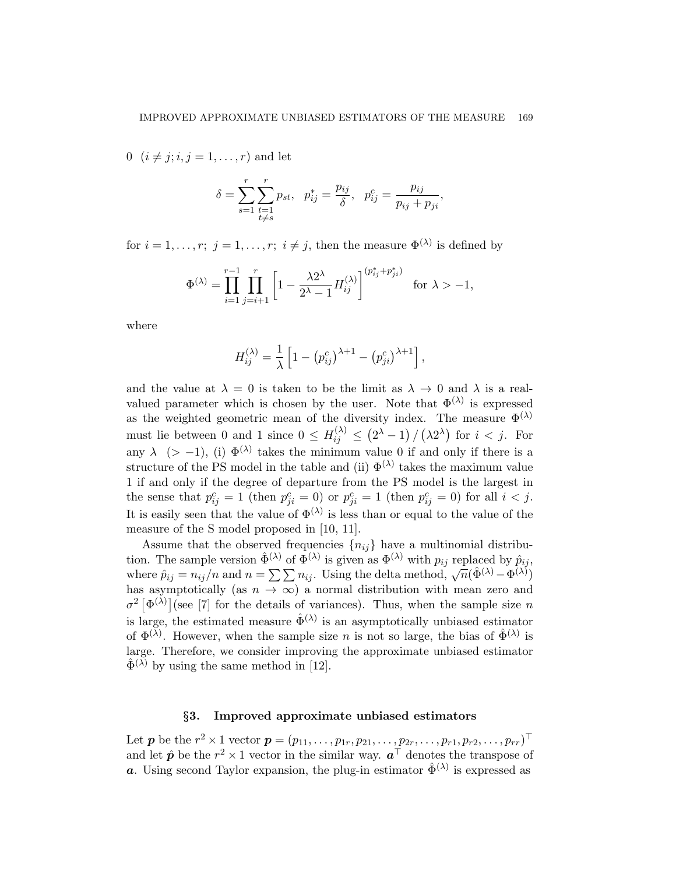0 ( $i \neq j; i, j = 1, ..., r$ ) and let

$$
\delta = \sum_{s=1}^{r} \sum_{\substack{t=1 \ t \neq s}}^{r} p_{st}, \ \ p_{ij}^* = \frac{p_{ij}}{\delta}, \ \ p_{ij}^c = \frac{p_{ij}}{p_{ij} + p_{ji}},
$$

for  $i = 1, \ldots, r$ ;  $j = 1, \ldots, r$ ;  $i \neq j$ , then the measure  $\Phi^{(\lambda)}$  is defined by

$$
\Phi^{(\lambda)} = \prod_{i=1}^{r-1} \prod_{j=i+1}^{r} \left[ 1 - \frac{\lambda 2^{\lambda}}{2^{\lambda} - 1} H_{ij}^{(\lambda)} \right]^{(p_{ij}^{*} + p_{ji}^{*})} \text{ for } \lambda > -1,
$$

where

$$
H_{ij}^{(\lambda)} = \frac{1}{\lambda} \left[ 1 - (p_{ij}^{c})^{\lambda+1} - (p_{ji}^{c})^{\lambda+1} \right],
$$

and the value at  $\lambda = 0$  is taken to be the limit as  $\lambda \to 0$  and  $\lambda$  is a realvalued parameter which is chosen by the user. Note that  $\Phi^{(\lambda)}$  is expressed as the weighted geometric mean of the diversity index. The measure  $\Phi^{(\lambda)}$ must lie between 0 and 1 since  $0 \leq H_{ij}^{(\lambda)} \leq (2^{\lambda} - 1) / (\lambda 2^{\lambda})$  for  $i < j$ . For any  $\lambda$  (> −1), (i)  $\Phi^{(\lambda)}$  takes the minimum value 0 if and only if there is a structure of the PS model in the table and (ii)  $\Phi^{(\lambda)}$  takes the maximum value 1 if and only if the degree of departure from the PS model is the largest in the sense that  $p_{ij}^c = 1$  (then  $p_{ji}^c = 0$ ) or  $p_{ji}^c = 1$  (then  $p_{ij}^c = 0$ ) for all  $i < j$ . It is easily seen that the value of  $\Phi^{(\lambda)}$  is less than or equal to the value of the measure of the S model proposed in [[10](#page-8-7), [11](#page-8-8)].

Assume that the observed frequencies  ${n_{ij}}$  have a multinomial distribution. The sample version  $\hat{\Phi}^{(\lambda)}$  of  $\overline{\Phi}^{(\lambda)}$  is given as  $\Phi^{(\lambda)}$  with  $p_{ij}$  replaced by  $\hat{p}_{ij}$ , where  $\hat{p}_{ij} = n_{ij}/n$  and  $n = \sum \sum n_{ij}$ . Using the delta method,  $\sqrt{n}(\hat{\Phi}^{(\lambda)} - \Phi^{(\lambda)})$ has asymptotically (as  $n \to \infty$ ) a normal distribution with mean zero and  $\sigma^2$   $[\Phi^{(\lambda)}]$  (see [\[7\]](#page-8-6) for the details of variances). Thus, when the sample size *n* is large, the estimated measure  $\hat{\Phi}^{(\lambda)}$  is an asymptotically unbiased estimator of  $\Phi^{(\lambda)}$ . However, when the sample size *n* is not so large, the bias of  $\hat{\Phi}^{(\lambda)}$  is large. Therefore, we consider improving the approximate unbiased estimator  $\hat{\Phi}^{(\lambda)}$  by using the same method in [\[12](#page-9-0)].

### *§***3. Improved approximate unbiased estimators**

<span id="page-2-0"></span>Let  $\bm{p}$  be the  $r^2 \times 1$  vector  $\bm{p} = (p_{11}, \ldots, p_{1r}, p_{21}, \ldots, p_{2r}, \ldots, p_{r1}, p_{r2}, \ldots, p_{rr})^{\top}$ and let  $\hat{p}$  be the  $r^2 \times 1$  vector in the similar way.  $a^{\top}$  denotes the transpose of *a*. Using second Taylor expansion, the plug-in estimator  $\hat{\Phi}^{(\lambda)}$  is expressed as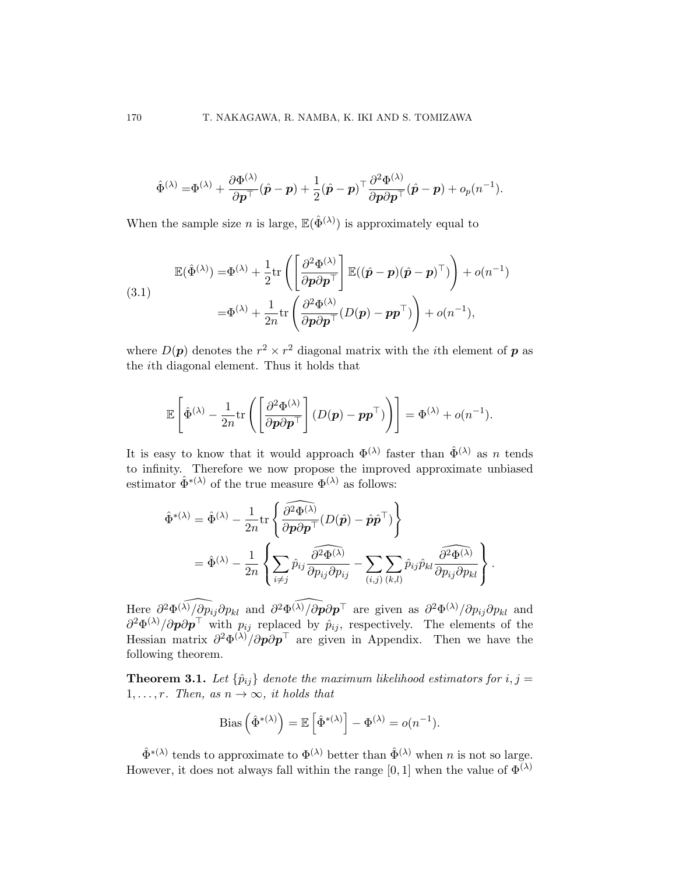$$
\hat{\Phi}^{(\lambda)} = \hspace{-1pt}\Phi^{(\lambda)} + \frac{\partial \Phi^{(\lambda)}}{\partial \boldsymbol{p}^\top} (\hat{\boldsymbol{p}} - \boldsymbol{p}) + \frac{1}{2}(\hat{\boldsymbol{p}} - \boldsymbol{p})^\top \frac{\partial^2 \Phi^{(\lambda)}}{\partial \boldsymbol{p} \partial \boldsymbol{p}^\top} (\hat{\boldsymbol{p}} - \boldsymbol{p}) + o_p(n^{-1}).
$$

When the sample size *n* is large,  $\mathbb{E}(\hat{\Phi}^{(\lambda)})$  is approximately equal to

(3.1)  
\n
$$
\mathbb{E}(\hat{\Phi}^{(\lambda)}) = \Phi^{(\lambda)} + \frac{1}{2} \text{tr} \left( \left[ \frac{\partial^2 \Phi^{(\lambda)}}{\partial p \partial p^{\top}} \right] \mathbb{E}((\hat{p} - p)(\hat{p} - p)^{\top}) \right) + o(n^{-1})
$$
\n
$$
= \Phi^{(\lambda)} + \frac{1}{2n} \text{tr} \left( \frac{\partial^2 \Phi^{(\lambda)}}{\partial p \partial p^{\top}} (D(p) - pp^{\top}) \right) + o(n^{-1}),
$$

where  $D(p)$  denotes the  $r^2 \times r^2$  diagonal matrix with the *i*th element of  $p$  as the *i*th diagonal element. Thus it holds that

$$
\mathbb{E}\left[\hat{\Phi}^{(\lambda)} - \frac{1}{2n} \text{tr}\left(\left[\frac{\partial^2 \Phi^{(\lambda)}}{\partial \boldsymbol{p} \partial \boldsymbol{p}^\top}\right] (D(\boldsymbol{p}) - \boldsymbol{p} \boldsymbol{p}^\top)\right)\right] = \Phi^{(\lambda)} + o(n^{-1}).
$$

It is easy to know that it would approach  $\Phi^{(\lambda)}$  faster than  $\hat{\Phi}^{(\lambda)}$  as *n* tends to infinity. Therefore we now propose the improved approximate unbiased estimator  $\hat{\Phi}^{*(\lambda)}$  of the true measure  $\Phi^{(\lambda)}$  as follows:

$$
\hat{\Phi}^{*(\lambda)} = \hat{\Phi}^{(\lambda)} - \frac{1}{2n} \text{tr} \left\{ \frac{\partial^2 \widehat{\Phi}^{(\lambda)}}{\partial \mathbf{p} \partial \mathbf{p}^\top} (D(\hat{\mathbf{p}}) - \hat{\mathbf{p}} \hat{\mathbf{p}}^\top) \right\} \n= \hat{\Phi}^{(\lambda)} - \frac{1}{2n} \left\{ \sum_{i \neq j} \hat{p}_{ij} \frac{\partial^2 \widehat{\Phi}^{(\lambda)}}{\partial p_{ij} \partial p_{ij}} - \sum_{(i,j)} \sum_{(k,l)} \hat{p}_{ij} \hat{p}_{kl} \frac{\partial^2 \widehat{\Phi}^{(\lambda)}}{\partial p_{ij} \partial p_{kl}} \right\}.
$$

 $H$ ere  $\partial^2 \Phi^{(\lambda)} / \partial p_{ij} \partial p_{kl}$  and  $\partial^2 \Phi^{(\lambda)} / \partial p \partial p$ <sup>T</sup> are given as  $\partial^2 \Phi^{(\lambda)} / \partial p_{ij} \partial p_{kl}$  and  $\partial^2 \Phi^{(\lambda)}/\partial p \partial p^{\top}$  with  $p_{ij}$  replaced by  $\hat{p}_{ij}$ , respectively. The elements of the Hessian matrix *∂* <sup>2</sup>Φ (*λ*)*/∂p∂p ⊤* are given in Appendix. Then we have the following theorem.

**Theorem 3.1.** Let  $\{\hat{p}_{ij}\}$  denote the maximum likelihood estimators for  $i, j =$ 1, ..., *r.* Then, as  $n \to \infty$ *, it holds that* 

Bias 
$$
\left(\hat{\Phi}^{*(\lambda)}\right) = \mathbb{E}\left[\hat{\Phi}^{*(\lambda)}\right] - \Phi^{(\lambda)} = o(n^{-1}).
$$

 $\hat{\Phi}^{*(\lambda)}$  tends to approximate to  $\Phi^{(\lambda)}$  better than  $\hat{\Phi}^{(\lambda)}$  when *n* is not so large. However, it does not always fall within the range [0, 1] when the value of  $\Phi^{(\lambda)}$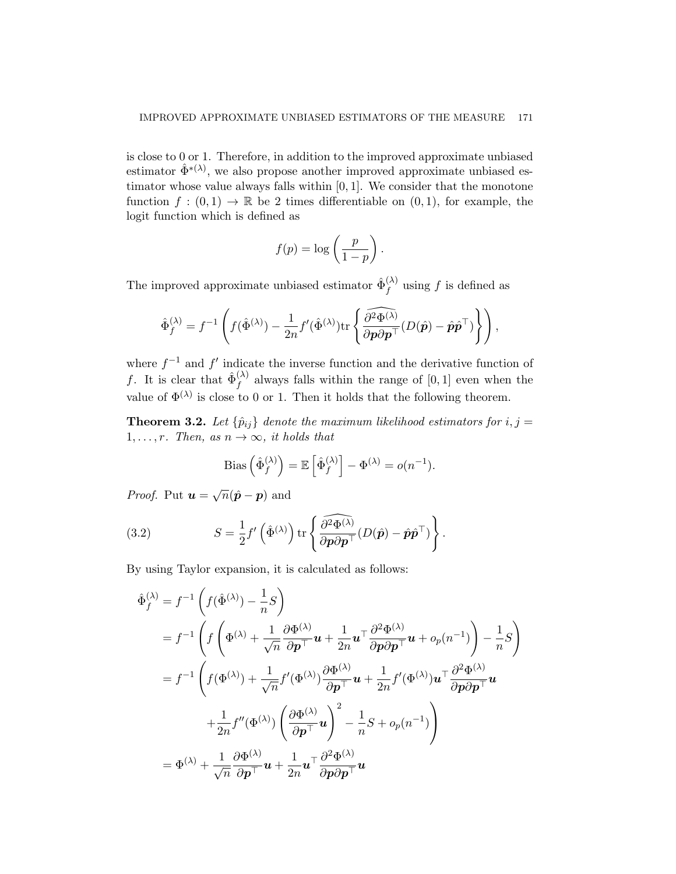is close to 0 or 1. Therefore, in addition to the improved approximate unbiased estimator  $\hat{\Phi}^{*(\lambda)}$ , we also propose another improved approximate unbiased estimator whose value always falls within [0*,* 1]. We consider that the monotone function  $f : (0,1) \to \mathbb{R}$  be 2 times differentiable on  $(0,1)$ , for example, the logit function which is defined as

$$
f(p) = \log\left(\frac{p}{1-p}\right).
$$

The improved approximate unbiased estimator  $\hat{\Phi}_{f}^{(\lambda)}$  $f^{(\lambda)}$  using f is defined as

$$
\hat{\Phi}_f^{(\lambda)} = f^{-1} \left( f(\hat{\Phi}^{(\lambda)}) - \frac{1}{2n} f'(\hat{\Phi}^{(\lambda)}) \text{tr} \left\{ \frac{\widehat{\partial^2 \Phi^{(\lambda)}}}{\partial \mathbf{p} \partial \mathbf{p}^\top} (D(\hat{\mathbf{p}}) - \hat{\mathbf{p}} \hat{\mathbf{p}}^\top) \right\} \right),
$$

where  $f^{-1}$  and  $f'$  indicate the inverse function and the derivative function of *f*. It is clear that  $\hat{\Phi}_{f}^{(\lambda)}$  $f_f^{(\lambda)}$  always falls within the range of [0, 1] even when the value of  $\Phi^{(\lambda)}$  is close to 0 or 1. Then it holds that the following theorem.

**Theorem 3.2.** Let  $\{\hat{p}_{ij}\}$  denote the maximum likelihood estimators for  $i, j =$ 1,..., *r.* Then, as  $n \to \infty$ , *it holds that* 

Bias 
$$
\left(\hat{\Phi}_f^{(\lambda)}\right) = \mathbb{E}\left[\hat{\Phi}_f^{(\lambda)}\right] - \Phi^{(\lambda)} = o(n^{-1}).
$$

*Proof.* Put  $\boldsymbol{u} = \sqrt{n}(\hat{\boldsymbol{p}} - \boldsymbol{p})$  and

<span id="page-4-0"></span>(3.2) 
$$
S = \frac{1}{2} f' \left( \hat{\Phi}^{(\lambda)} \right) \text{tr} \left\{ \frac{\partial^2 \Phi^{(\lambda)}}{\partial p \partial p^{\top}} (D(\hat{p}) - \hat{p} \hat{p}^{\top}) \right\}.
$$

By using Taylor expansion, it is calculated as follows:

$$
\hat{\Phi}_{f}^{(\lambda)} = f^{-1} \left( f(\hat{\Phi}^{(\lambda)}) - \frac{1}{n} S \right)
$$
\n
$$
= f^{-1} \left( f \left( \Phi^{(\lambda)} + \frac{1}{\sqrt{n}} \frac{\partial \Phi^{(\lambda)}}{\partial p^{+}} \mathbf{u} + \frac{1}{2n} \mathbf{u}^{\top} \frac{\partial^{2} \Phi^{(\lambda)}}{\partial p \partial p^{+}} \mathbf{u} + o_{p}(n^{-1}) \right) - \frac{1}{n} S \right)
$$
\n
$$
= f^{-1} \left( f(\Phi^{(\lambda)}) + \frac{1}{\sqrt{n}} f'(\Phi^{(\lambda)}) \frac{\partial \Phi^{(\lambda)}}{\partial p^{+}} \mathbf{u} + \frac{1}{2n} f'(\Phi^{(\lambda)}) \mathbf{u}^{\top} \frac{\partial^{2} \Phi^{(\lambda)}}{\partial p \partial p^{+}} \mathbf{u} + \frac{1}{2n} f''(\Phi^{(\lambda)}) \left( \frac{\partial \Phi^{(\lambda)}}{\partial p^{+}} \mathbf{u} \right)^{2} - \frac{1}{n} S + o_{p}(n^{-1}) \right)
$$
\n
$$
= \Phi^{(\lambda)} + \frac{1}{\sqrt{n}} \frac{\partial \Phi^{(\lambda)}}{\partial p^{+}} \mathbf{u} + \frac{1}{2n} \mathbf{u}^{\top} \frac{\partial^{2} \Phi^{(\lambda)}}{\partial p \partial p^{+}} \mathbf{u}
$$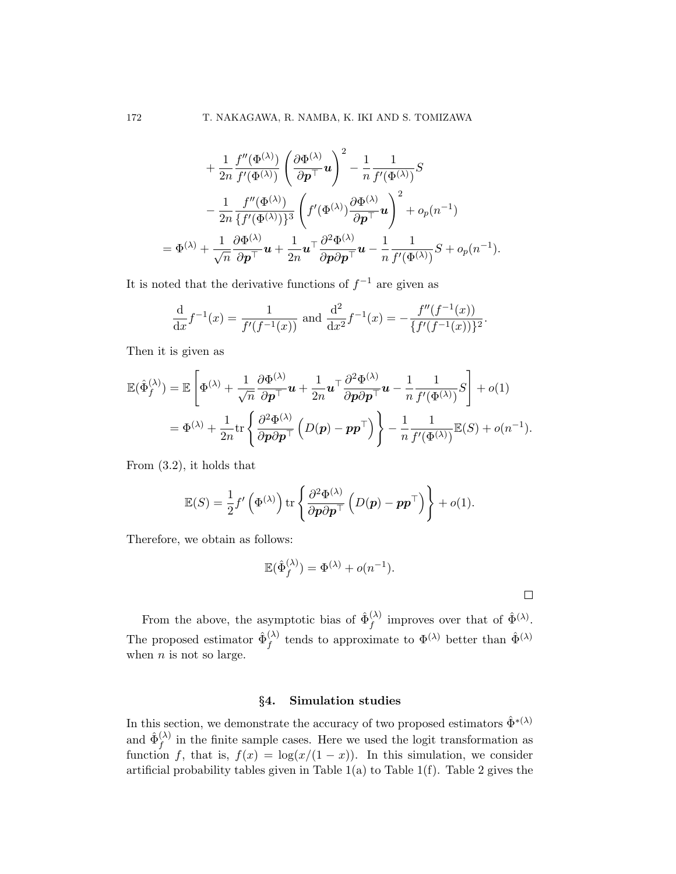$$
+\frac{1}{2n} \frac{f''(\Phi^{(\lambda)})}{f'(\Phi^{(\lambda)})} \left(\frac{\partial \Phi^{(\lambda)}}{\partial p^{+}} u\right)^{2} - \frac{1}{n} \frac{1}{f'(\Phi^{(\lambda)})} S
$$

$$
-\frac{1}{2n} \frac{f''(\Phi^{(\lambda)})}{\{f'(\Phi^{(\lambda)})\}^{3}} \left(f'(\Phi^{(\lambda)}) \frac{\partial \Phi^{(\lambda)}}{\partial p^{+}} u\right)^{2} + o_{p}(n^{-1})
$$

$$
= \Phi^{(\lambda)} + \frac{1}{\sqrt{n}} \frac{\partial \Phi^{(\lambda)}}{\partial p^{+}} u + \frac{1}{2n} u^{+} \frac{\partial^{2} \Phi^{(\lambda)}}{\partial p \partial p^{+}} u - \frac{1}{n} \frac{1}{f'(\Phi^{(\lambda)})} S + o_{p}(n^{-1}).
$$

It is noted that the derivative functions of *f <sup>−</sup>*<sup>1</sup> are given as

$$
\frac{\mathrm{d}}{\mathrm{d}x}f^{-1}(x) = \frac{1}{f'(f^{-1}(x))} \text{ and } \frac{\mathrm{d}^2}{\mathrm{d}x^2}f^{-1}(x) = -\frac{f''(f^{-1}(x))}{\{f'(f^{-1}(x))\}^2}.
$$

Then it is given as

$$
\mathbb{E}(\hat{\Phi}_f^{(\lambda)}) = \mathbb{E}\left[\Phi^{(\lambda)} + \frac{1}{\sqrt{n}} \frac{\partial \Phi^{(\lambda)}}{\partial p^{\top}} \mathbf{u} + \frac{1}{2n} \mathbf{u}^{\top} \frac{\partial^2 \Phi^{(\lambda)}}{\partial p \partial p^{\top}} \mathbf{u} - \frac{1}{n} \frac{1}{f'(\Phi^{(\lambda)})} S\right] + o(1)
$$
  
=  $\Phi^{(\lambda)} + \frac{1}{2n} \text{tr}\left\{\frac{\partial^2 \Phi^{(\lambda)}}{\partial p \partial p^{\top}} \left(D(p) - pp^{\top}\right)\right\} - \frac{1}{n} \frac{1}{f'(\Phi^{(\lambda)})} \mathbb{E}(S) + o(n^{-1}).$ 

From [\(3.2](#page-4-0)), it holds that

$$
\mathbb{E}(S) = \frac{1}{2} f' \left( \Phi^{(\lambda)} \right) \text{tr} \left\{ \frac{\partial^2 \Phi^{(\lambda)}}{\partial \mathbf{p} \partial \mathbf{p}^\top} \left( D(\mathbf{p}) - \mathbf{p} \mathbf{p}^\top \right) \right\} + o(1).
$$

Therefore, we obtain as follows:

$$
\mathbb{E}(\hat{\Phi}_f^{(\lambda)}) = \Phi^{(\lambda)} + o(n^{-1}).
$$

 $\Box$ 

From the above, the asymptotic bias of  $\hat{\Phi}_{f}^{(\lambda)}$  $f_f^{(\lambda)}$  improves over that of  $\hat{\Phi}^{(\lambda)}$ . The proposed estimator  $\hat{\Phi}_f^{(\lambda)}$  $f_f^{(\lambda)}$  tends to approximate to  $\Phi^{(\lambda)}$  better than  $\hat{\Phi}^{(\lambda)}$ when *n* is not so large.

### *§***4. Simulation studies**

<span id="page-5-0"></span>In this section, we demonstrate the accuracy of two proposed estimators  $\hat{\Phi}^{*(\lambda)}$ and  $\hat{\Phi}_{f}^{(\lambda)}$  $f_f^{(\lambda)}$  in the finite sample cases. Here we used the logit transformation as function *f*, that is,  $f(x) = \log(x/(1-x))$ . In this simulation, we consider artificial probability tables given in Table  $1(a)$  $1(a)$  to Table  $1(f)$ . Table [2](#page-10-1) gives the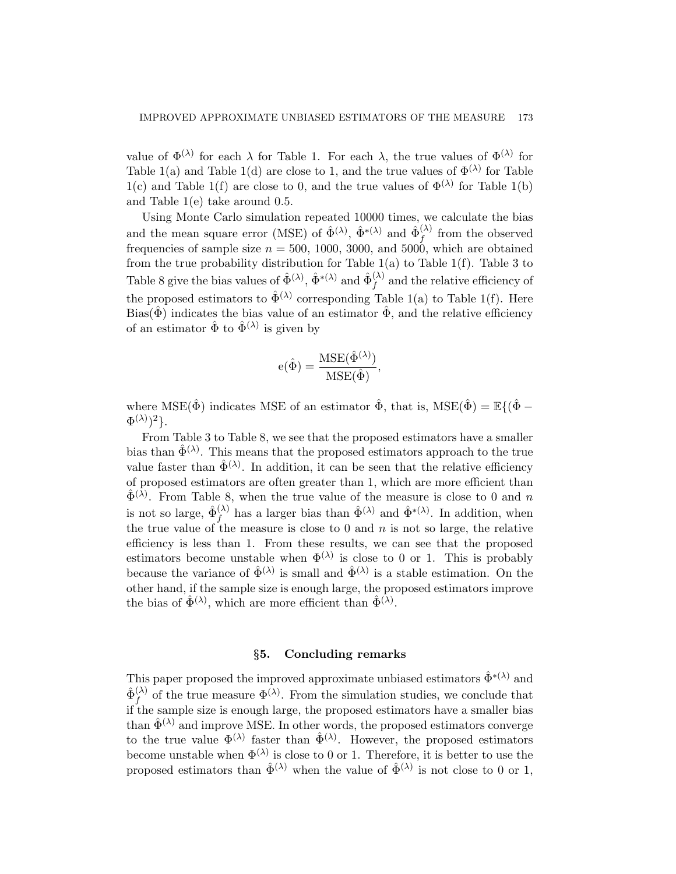value of  $\Phi^{(\lambda)}$  for each  $\lambda$  for Table [1](#page-10-0). For each  $\lambda$ , the true values of  $\Phi^{(\lambda)}$  for Table [1\(](#page-10-0)a) and Table [1](#page-10-0)(d) are close to 1, and the true values of  $\Phi^{(\lambda)}$  for Table [1\(](#page-10-0)c) and Table [1](#page-10-0)(f) are close to 0, and the true values of  $\Phi^{(\lambda)}$  for Table 1(b) and Table [1](#page-10-0)(e) take around 0*.*5.

Using Monte Carlo simulation repeated 10000 times, we calculate the bias and the mean square error (MSE) of  $\hat{\Phi}^{(\lambda)}$ ,  $\hat{\Phi}^{*(\lambda)}$  and  $\hat{\Phi}^{(\lambda)}_f$  from the observed frequencies of sample size  $n = 500, 1000, 3000,$  and  $5000$ , which are obtained from the true probability distribution for Table  $1(a)$  $1(a)$  to Table  $1(f)$ . Table [3](#page-11-0) to Table [8](#page-16-0) give the bias values of  $\hat{\Phi}^{(\lambda)}$ ,  $\hat{\Phi}^{*(\lambda)}$  and  $\hat{\Phi}^{(\lambda)}_f$  $f_f^{(\lambda)}$  and the relative efficiency of the proposed estimators to  $\hat{\Phi}^{(\lambda)}$  corresponding Table [1](#page-10-0)(a) to Table 1(f). Here Bias( $\hat{\Phi}$ ) indicates the bias value of an estimator  $\hat{\Phi}$ , and the relative efficiency of an estimator  $\hat{\Phi}$  to  $\hat{\Phi}^{(\lambda)}$  is given by

$$
e(\hat{\Phi}) = \frac{MSE(\hat{\Phi}^{(\lambda)})}{MSE(\hat{\Phi})},
$$

where MSE( $\hat{\Phi}$ ) indicates MSE of an estimator  $\hat{\Phi}$ , that is, MSE( $\hat{\Phi}$ ) =  $\mathbb{E}\{(\hat{\Phi} - \Phi)$  $\Phi^{(\lambda)})^2$ .

From Table [3](#page-11-0) to Table [8,](#page-16-0) we see that the proposed estimators have a smaller bias than  $\hat{\Phi}^{(\lambda)}$ . This means that the proposed estimators approach to the true value faster than  $\hat{\Phi}^{(\lambda)}$ . In addition, it can be seen that the relative efficiency of proposed estimators are often greater than 1, which are more efficient than  $\hat{\Phi}^{(\lambda)}$ . From Table [8](#page-16-0), when the true value of the measure is close to 0 and *n* is not so large,  $\hat{\Phi}_f^{(\lambda)}$  $f_f^{(\lambda)}$  has a larger bias than  $\hat{\Phi}^{(\lambda)}$  and  $\hat{\Phi}^{*(\lambda)}$ . In addition, when the true value of the measure is close to 0 and  $n$  is not so large, the relative efficiency is less than 1. From these results, we can see that the proposed estimators become unstable when  $\Phi^{(\lambda)}$  is close to 0 or 1. This is probably because the variance of  $\hat{\Phi}^{(\lambda)}$  is small and  $\hat{\Phi}^{(\lambda)}$  is a stable estimation. On the other hand, if the sample size is enough large, the proposed estimators improve the bias of  $\hat{\Phi}^{(\lambda)}$ , which are more efficient than  $\hat{\Phi}^{(\lambda)}$ .

#### *§***5. Concluding remarks**

<span id="page-6-0"></span>This paper proposed the improved approximate unbiased estimators  $\hat{\Phi}^{*(\lambda)}$  and  $\hat{\Phi}_f^{(\lambda)}$  $f_f^{(\lambda)}$  of the true measure  $\Phi^{(\lambda)}$ . From the simulation studies, we conclude that if the sample size is enough large, the proposed estimators have a smaller bias than  $\hat{\Phi}^{(\lambda)}$  and improve MSE. In other words, the proposed estimators converge to the true value  $\Phi^{(\lambda)}$  faster than  $\hat{\Phi}^{(\lambda)}$ . However, the proposed estimators become unstable when  $\Phi^{(\lambda)}$  is close to 0 or 1. Therefore, it is better to use the proposed estimators than  $\hat{\Phi}^{(\lambda)}$  when the value of  $\hat{\Phi}^{(\lambda)}$  is not close to 0 or 1,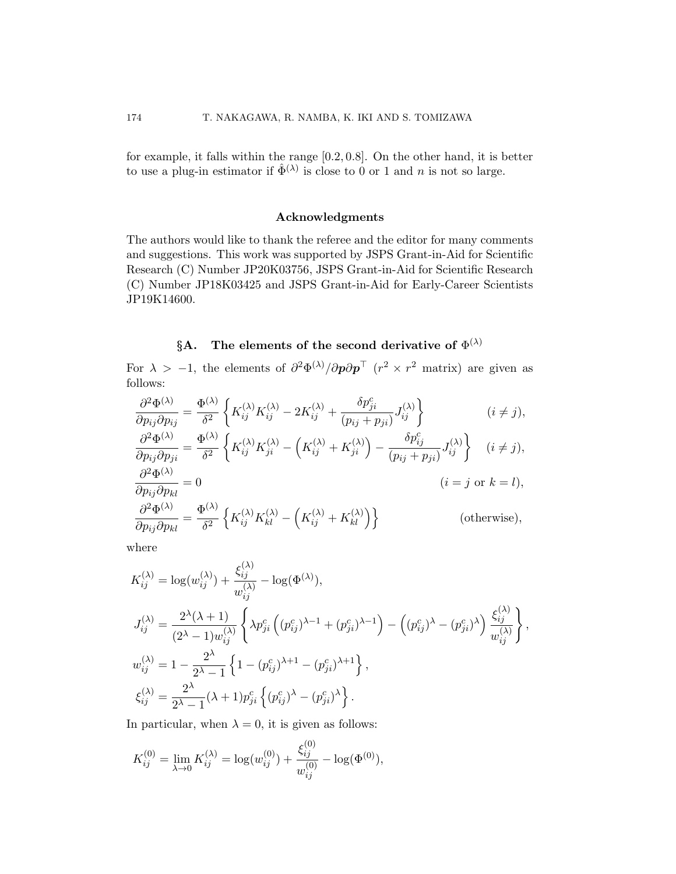for example, it falls within the range [0*.*2*,* 0*.*8]. On the other hand, it is better to use a plug-in estimator if  $\hat{\Phi}^{(\lambda)}$  is close to 0 or 1 and *n* is not so large.

#### **Acknowledgments**

The authors would like to thank the referee and the editor for many comments and suggestions. This work was supported by JSPS Grant-in-Aid for Scientific Research (C) Number JP20K03756, JSPS Grant-in-Aid for Scientific Research (C) Number JP18K03425 and JSPS Grant-in-Aid for Early-Career Scientists JP19K14600.

# $\S$ **A**. The elements of the second derivative of  $\Phi^{(\lambda)}$

For  $\lambda > -1$ , the elements of  $\partial^2 \Phi^{(\lambda)}/\partial p \partial p^{\top}$  ( $r^2 \times r^2$  matrix) are given as follows:

$$
\frac{\partial^2 \Phi^{(\lambda)}}{\partial p_{ij} \partial p_{ij}} = \frac{\Phi^{(\lambda)}}{\delta^2} \left\{ K_{ij}^{(\lambda)} K_{ij}^{(\lambda)} - 2K_{ij}^{(\lambda)} + \frac{\delta p_{ji}^c}{(p_{ij} + p_{ji})} J_{ij}^{(\lambda)} \right\} \qquad (i \neq j),
$$
  

$$
\frac{\partial^2 \Phi^{(\lambda)}}{\partial p_{ij} \partial p_{ji}} = \frac{\Phi^{(\lambda)}}{\delta^2} \left\{ K_{ij}^{(\lambda)} K_{ji}^{(\lambda)} - \left( K_{ij}^{(\lambda)} + K_{ji}^{(\lambda)} \right) - \frac{\delta p_{ij}^c}{(p_{ij} + p_{ji})} J_{ij}^{(\lambda)} \right\} \quad (i \neq j),
$$
  

$$
\frac{\partial^2 \Phi^{(\lambda)}}{\partial p_{ij} \partial p_{kl}} = 0 \qquad (i = j \text{ or } k = l),
$$
  

$$
\frac{\partial^2 \Phi^{(\lambda)}}{\partial p_{ij} \partial p_{kl}} = \frac{\Phi^{(\lambda)}}{\delta^2} \left\{ K_{ij}^{(\lambda)} K_{kl}^{(\lambda)} - \left( K_{ij}^{(\lambda)} + K_{kl}^{(\lambda)} \right) \right\} \qquad \text{(otherwise)},
$$

where

$$
K_{ij}^{(\lambda)} = \log(w_{ij}^{(\lambda)}) + \frac{\xi_{ij}^{(\lambda)}}{w_{ij}^{(\lambda)}} - \log(\Phi^{(\lambda)}),
$$
  
\n
$$
J_{ij}^{(\lambda)} = \frac{2^{\lambda}(\lambda + 1)}{(2^{\lambda} - 1)w_{ij}^{(\lambda)}} \left\{ \lambda p_{ji}^{c} \left( (p_{ij}^{c})^{\lambda - 1} + (p_{ji}^{c})^{\lambda - 1} \right) - \left( (p_{ij}^{c})^{\lambda} - (p_{ji}^{c})^{\lambda} \right) \frac{\xi_{ij}^{(\lambda)}}{w_{ij}^{(\lambda)}} \right\},
$$
  
\n
$$
w_{ij}^{(\lambda)} = 1 - \frac{2^{\lambda}}{2^{\lambda} - 1} \left\{ 1 - (p_{ij}^{c})^{\lambda + 1} - (p_{ji}^{c})^{\lambda + 1} \right\},
$$
  
\n
$$
\xi_{ij}^{(\lambda)} = \frac{2^{\lambda}}{2^{\lambda} - 1} (\lambda + 1) p_{ji}^{c} \left\{ (p_{ij}^{c})^{\lambda} - (p_{ji}^{c})^{\lambda} \right\}.
$$

In particular, when  $\lambda = 0$ , it is given as follows:

$$
K_{ij}^{(0)} = \lim_{\lambda \to 0} K_{ij}^{(\lambda)} = \log(w_{ij}^{(0)}) + \frac{\xi_{ij}^{(0)}}{w_{ij}^{(0)}} - \log(\Phi^{(0)}),
$$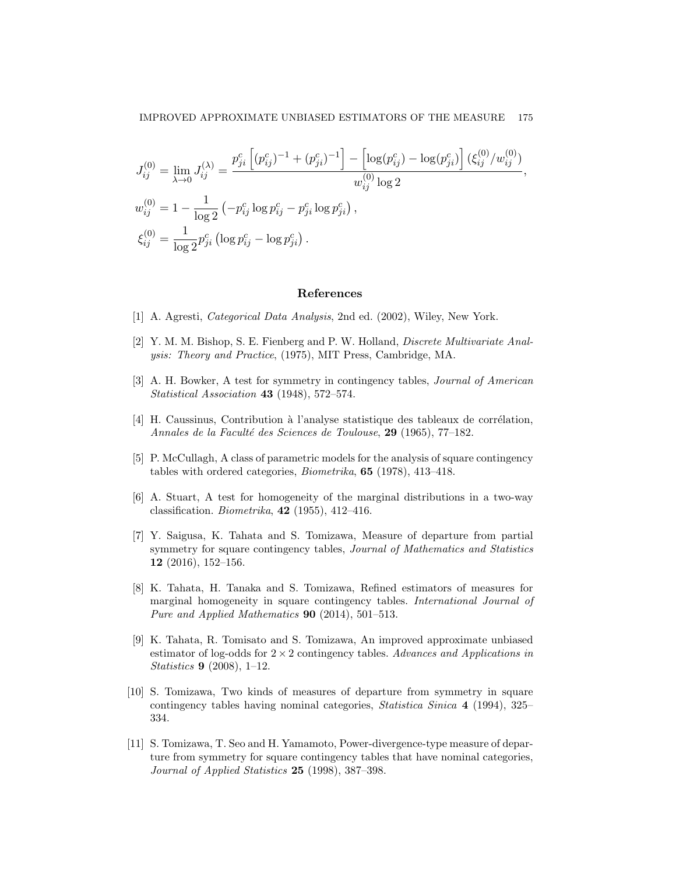$$
J_{ij}^{(0)} = \lim_{\lambda \to 0} J_{ij}^{(\lambda)} = \frac{p_{ji}^c \left[ (p_{ij}^c)^{-1} + (p_{ji}^c)^{-1} \right] - \left[ \log(p_{ij}^c) - \log(p_{ji}^c) \right] (\xi_{ij}^{(0)} / w_{ij}^{(0)})}{w_{ij}^{(0)} \log 2},
$$
  
\n
$$
w_{ij}^{(0)} = 1 - \frac{1}{\log 2} \left( -p_{ij}^c \log p_{ij}^c - p_{ji}^c \log p_{ji}^c \right),
$$
  
\n
$$
\xi_{ij}^{(0)} = \frac{1}{\log 2} p_{ji}^c \left( \log p_{ij}^c - \log p_{ji}^c \right).
$$

#### **References**

- <span id="page-8-1"></span>[1] A. Agresti, *Categorical Data Analysis*, 2nd ed. (2002), Wiley, New York.
- <span id="page-8-2"></span>[2] Y. M. M. Bishop, S. E. Fienberg and P. W. Holland, *Discrete Multivariate Analysis: Theory and Practice*, (1975), MIT Press, Cambridge, MA.
- <span id="page-8-0"></span>[3] A. H. Bowker, A test for symmetry in contingency tables, *Journal of American Statistical Association* **43** (1948), 572–574.
- <span id="page-8-3"></span> $[4]$  H. Caussinus, Contribution à l'analyse statistique des tableaux de corrélation, *Annales de la Facult´e des Sciences de Toulouse*, **29** (1965), 77–182.
- <span id="page-8-4"></span>[5] P. McCullagh, A class of parametric models for the analysis of square contingency tables with ordered categories, *Biometrika*, **65** (1978), 413–418.
- <span id="page-8-5"></span>[6] A. Stuart, A test for homogeneity of the marginal distributions in a two-way classification. *Biometrika*, **42** (1955), 412–416.
- <span id="page-8-6"></span>[7] Y. Saigusa, K. Tahata and S. Tomizawa, Measure of departure from partial symmetry for square contingency tables, *Journal of Mathematics and Statistics* **12** (2016), 152–156.
- <span id="page-8-9"></span>[8] K. Tahata, H. Tanaka and S. Tomizawa, Refined estimators of measures for marginal homogeneity in square contingency tables. *International Journal of Pure and Applied Mathematics* **90** (2014), 501–513.
- <span id="page-8-10"></span>[9] K. Tahata, R. Tomisato and S. Tomizawa, An improved approximate unbiased estimator of log-odds for 2 *×* 2 contingency tables. *Advances and Applications in Statistics* **9** (2008), 1–12.
- <span id="page-8-7"></span>[10] S. Tomizawa, Two kinds of measures of departure from symmetry in square contingency tables having nominal categories, *Statistica Sinica* **4** (1994), 325– 334.
- <span id="page-8-8"></span>[11] S. Tomizawa, T. Seo and H. Yamamoto, Power-divergence-type measure of departure from symmetry for square contingency tables that have nominal categories, *Journal of Applied Statistics* **25** (1998), 387–398.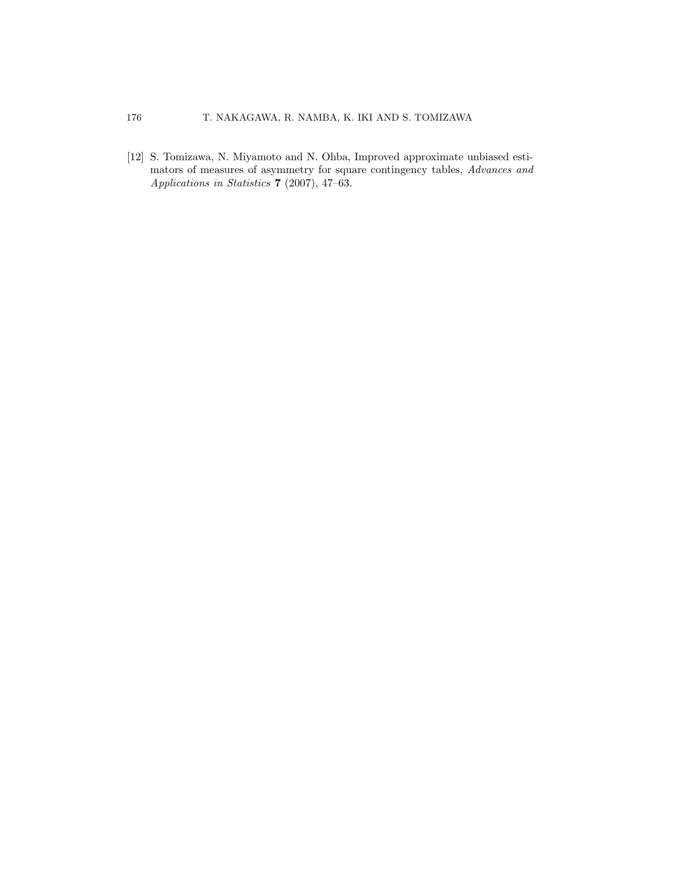<span id="page-9-0"></span>[12] S. Tomizawa, N. Miyamoto and N. Ohba, Improved approximate unbiased estimators of measures of asymmetry for square contingency tables, *Advances and Applications in Statistics* **7** (2007), 47–63.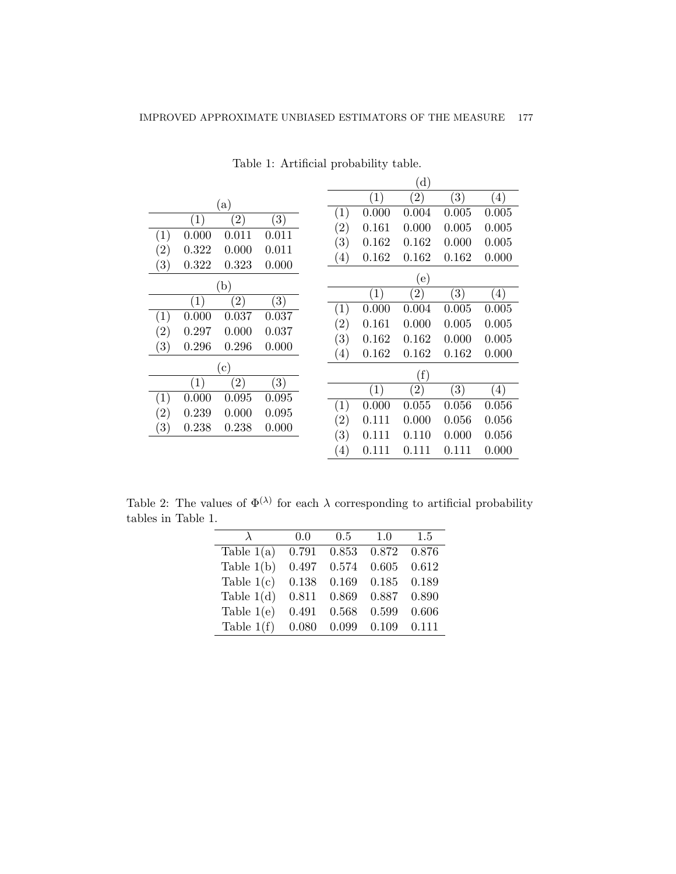|                                                                    |                   |       | (d)               |       |                  |
|--------------------------------------------------------------------|-------------------|-------|-------------------|-------|------------------|
|                                                                    |                   | (1)   | $\left( 2\right)$ | (3)   | $\left(4\right)$ |
| (a)<br>$\left( 3\right)$<br>$\left( 2\right)$<br>$\left( 1\right)$ | $\left( 1\right)$ | 0.000 | 0.004             | 0.005 | 0.005            |
|                                                                    | $\left( 2\right)$ | 0.161 | 0.000             | 0.005 | 0.005            |
| 0.000<br>0.011<br>0.011<br>$\left( 1\right)$                       | (3)               | 0.162 | 0.162             | 0.000 | 0.005            |
| $\left( 2\right)$<br>0.322<br>0.000<br>0.011                       | $\left(4\right)$  | 0.162 | 0.162             | 0.162 | 0.000            |
| $\left( 3\right)$<br>0.000<br>0.322<br>0.323                       |                   |       |                   |       |                  |
| (b)                                                                |                   |       | (e)               |       |                  |
| (1)<br>$\left( 2\right)$<br>$\left( 3\right)$                      |                   | (1)   | $\left( 2\right)$ | (3)   | (4)              |
| 0.000<br>0.037<br>0.037<br>$\left(1\right)$                        | (1)               | 0.000 | 0.004             | 0.005 | 0.005            |
|                                                                    | $\rm(2)$          | 0.161 | 0.000             | 0.005 | 0.005            |
| $\left( 2\right)$<br>0.000<br>0.037<br>0.297                       | (3)               | 0.162 | 0.162             | 0.000 | 0.005            |
| (3)<br>0.296<br>0.000<br>0.296                                     | (4)               | 0.162 | 0.162             | 0.162 | 0.000            |
| $\left( \text{c} \right)$                                          |                   |       |                   |       |                  |
| $\left( 1\right)$<br>$\left( 2\right)$<br>$\left( 3\right)$        |                   |       | (f)               |       |                  |
|                                                                    |                   | (1)   | (2)               | (3)   | (4)              |
| (1)<br>0.000<br>0.095<br>0.095                                     | $\left( 1\right)$ | 0.000 | 0.055             | 0.056 | 0.056            |
| (2)<br>0.239<br>0.000<br>0.095                                     | (2)               | 0.111 | 0.000             | 0.056 | 0.056            |
| $\left( 3\right)$<br>0.000<br>0.238<br>0.238                       | (3)               | 0.111 | 0.110             | 0.000 | 0.056            |
|                                                                    | $\left(4\right)$  | 0.111 | 0.111             | 0.111 | 0.000            |

<span id="page-10-0"></span>Table 1: Artificial probability table.

Table 2: The values of  $\Phi^{(\lambda)}$  for each  $\lambda$  corresponding to artificial probability tables in Table [1](#page-10-0).

<span id="page-10-1"></span>

| $\lambda$    | 0.0   | 0.5   | 1.0   | 1.5   |
|--------------|-------|-------|-------|-------|
| Table $1(a)$ | 0.791 | 0.853 | 0.872 | 0.876 |
| Table $1(b)$ | 0.497 | 0.574 | 0.605 | 0.612 |
| Table $1(c)$ | 0.138 | 0.169 | 0.185 | 0.189 |
| Table $1(d)$ | 0.811 | 0.869 | 0.887 | 0.890 |
| Table $1(e)$ | 0.491 | 0.568 | 0.599 | 0.606 |
| Table $1(f)$ | 0.080 | 0.099 | 0.109 | 0.111 |
|              |       |       |       |       |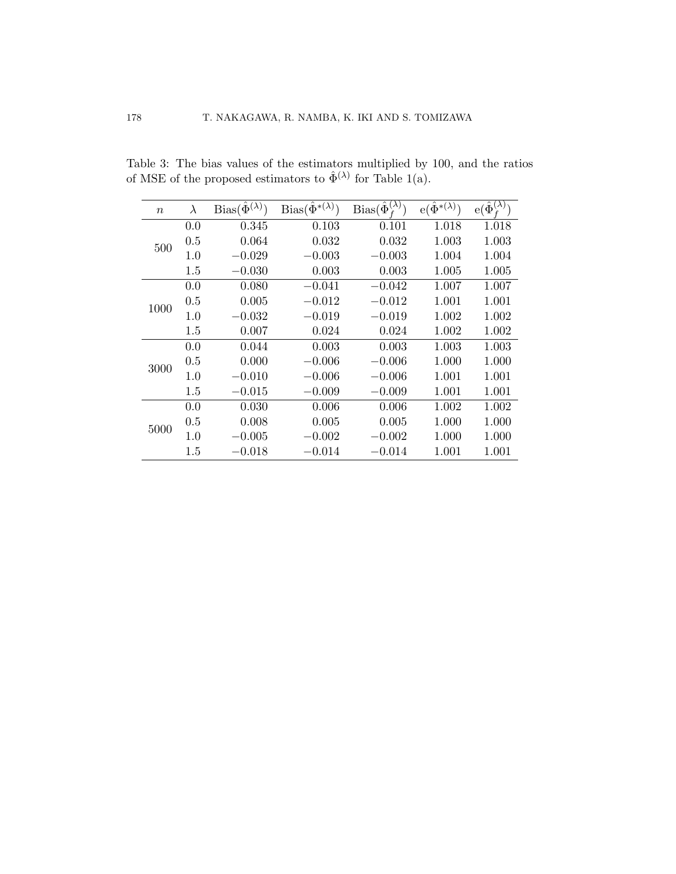| $\boldsymbol{n}$ | $\lambda$ | $Bias(\hat{\Phi}^{(\lambda)})$ | $Bias(\hat{\Phi}^{*(\lambda)})$ | $Bias(\hat{\Phi}_{\mathbf{r}}^{(\lambda)})$ | $e(\hat{\Phi}^{*(\lambda)})$ | $e(\hat{\Phi}^{(\overline{\lambda})}_+)$ |
|------------------|-----------|--------------------------------|---------------------------------|---------------------------------------------|------------------------------|------------------------------------------|
| 500              | 0.0       | 0.345                          | 0.103                           | 0.101                                       | 1.018                        | 1.018                                    |
|                  | 0.5       | 0.064                          | 0.032                           | 0.032                                       | 1.003                        | 1.003                                    |
|                  | 1.0       | $-0.029$                       | $-0.003$                        | $-0.003$                                    | 1.004                        | 1.004                                    |
|                  | 1.5       | $-0.030$                       | 0.003                           | 0.003                                       | 1.005                        | 1.005                                    |
|                  | 0.0       | 0.080                          | $-0.041$                        | $-0.042$                                    | 1.007                        | 1.007                                    |
| 1000             | 0.5       | 0.005                          | $-0.012$                        | $-0.012$                                    | 1.001                        | 1.001                                    |
|                  | $1.0\,$   | $-0.032$                       | $-0.019$                        | $-0.019$                                    | 1.002                        | 1.002                                    |
|                  | 1.5       | 0.007                          | 0.024                           | 0.024                                       | 1.002                        | 1.002                                    |
|                  | 0.0       | 0.044                          | 0.003                           | 0.003                                       | 1.003                        | 1.003                                    |
| 3000             | 0.5       | 0.000                          | $-0.006$                        | $-0.006$                                    | 1.000                        | 1.000                                    |
|                  | $1.0\,$   | $-0.010$                       | $-0.006$                        | $-0.006$                                    | 1.001                        | 1.001                                    |
|                  | 1.5       | $-0.015$                       | $-0.009$                        | $-0.009$                                    | 1.001                        | 1.001                                    |
| 5000             | 0.0       | 0.030                          | 0.006                           | 0.006                                       | 1.002                        | 1.002                                    |
|                  | 0.5       | 0.008                          | 0.005                           | 0.005                                       | 1.000                        | 1.000                                    |
|                  | $1.0\,$   | $-0.005$                       | $-0.002$                        | $-0.002$                                    | 1.000                        | 1.000                                    |
|                  | 1.5       | $-0.018$                       | $-0.014$                        | $-0.014$                                    | 1.001                        | 1.001                                    |

<span id="page-11-0"></span>Table 3: The bias values of the estimators multiplied by 100, and the ratios of MSE of the proposed estimators to  $\hat{\Phi}^{(\lambda)}$  for Table [1\(](#page-10-0)a).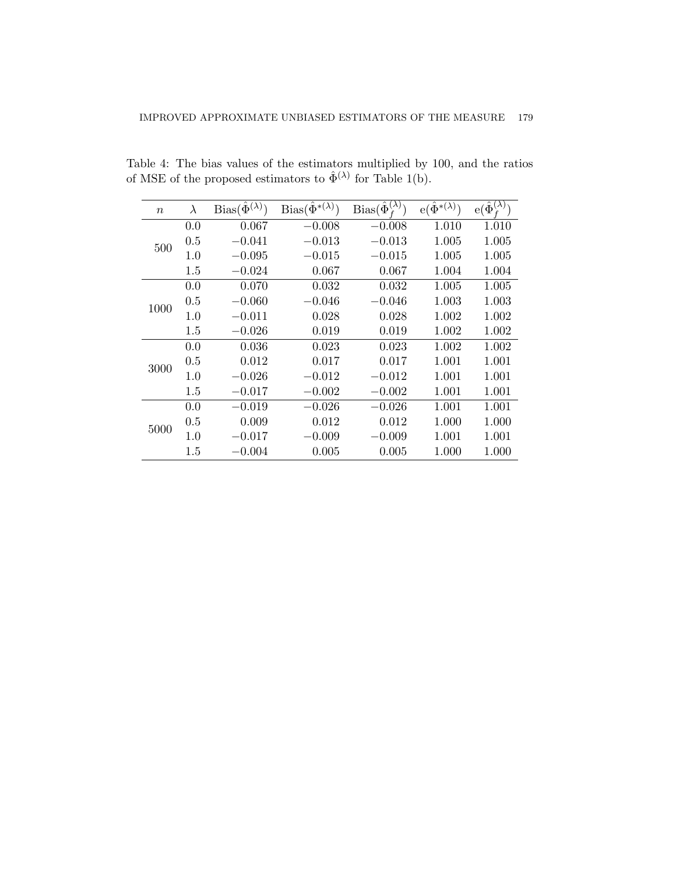| $\, n$ | $\lambda$ | $Bias(\hat{\Phi}^{(\lambda)})$ | $Bias(\hat{\Phi}^{*(\lambda)})$ | $Bias(\hat{\Phi}_{t}^{(\overline{\lambda})})$ | $e(\hat{\Phi}^{*(\lambda)})$ | $e(\hat{\Phi}^{(\lambda)}_{\ell})$ |
|--------|-----------|--------------------------------|---------------------------------|-----------------------------------------------|------------------------------|------------------------------------|
|        | 0.0       | 0.067                          | $-0.008$                        | $-0.008$                                      | 1.010                        | 1.010                              |
| 500    | 0.5       | $-0.041$                       | $-0.013$                        | $-0.013$                                      | 1.005                        | 1.005                              |
|        | 1.0       | $-0.095$                       | $-0.015$                        | $-0.015$                                      | 1.005                        | 1.005                              |
|        | 1.5       | $-0.024$                       | 0.067                           | 0.067                                         | 1.004                        | 1.004                              |
|        | 0.0       | 0.070                          | 0.032                           | 0.032                                         | 1.005                        | 1.005                              |
| 1000   | 0.5       | $-0.060$                       | $-0.046$                        | $-0.046$                                      | 1.003                        | 1.003                              |
|        | 1.0       | $-0.011$                       | 0.028                           | 0.028                                         | 1.002                        | 1.002                              |
|        | 1.5       | $-0.026$                       | 0.019                           | 0.019                                         | 1.002                        | 1.002                              |
|        | 0.0       | 0.036                          | 0.023                           | 0.023                                         | 1.002                        | 1.002                              |
| 3000   | 0.5       | 0.012                          | 0.017                           | 0.017                                         | 1.001                        | 1.001                              |
|        | 1.0       | $-0.026$                       | $-0.012$                        | $-0.012$                                      | 1.001                        | 1.001                              |
|        | $1.5\,$   | $-0.017$                       | $-0.002$                        | $-0.002$                                      | 1.001                        | 1.001                              |
| 5000   | 0.0       | $-0.019$                       | $-0.026$                        | $-0.026$                                      | 1.001                        | 1.001                              |
|        | 0.5       | 0.009                          | 0.012                           | 0.012                                         | 1.000                        | 1.000                              |
|        | 1.0       | $-0.017$                       | $-0.009$                        | $-0.009$                                      | 1.001                        | 1.001                              |
|        | 1.5       | $-0.004$                       | 0.005                           | 0.005                                         | 1.000                        | 1.000                              |

Table 4: The bias values of the estimators multiplied by 100, and the ratios of MSE of the proposed estimators to  $\hat{\Phi}^{(\lambda)}$  for Table [1\(](#page-10-0)b).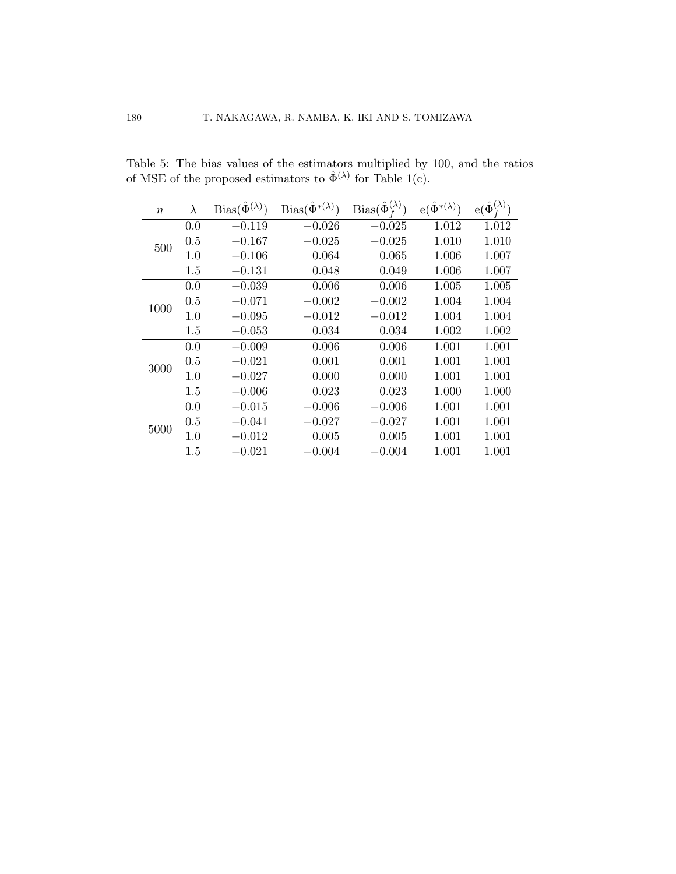| $\boldsymbol{n}$ | $\lambda$ | $Bias(\hat{\Phi}^{(\lambda)})$ | $Bias(\hat{\Phi}^{*(\lambda)})$ | $Bias(\hat{\Phi}_{f}^{(\lambda)})$ | $e(\hat{\Phi}^{*(\lambda)})$ | $e(\hat{\Phi}^{(\bar{\lambda})}$ |
|------------------|-----------|--------------------------------|---------------------------------|------------------------------------|------------------------------|----------------------------------|
|                  | 0.0       | $-0.119$                       | $-0.026$                        | $-0.025$                           | 1.012                        | 1.012                            |
|                  | 0.5       | $-0.167$                       | $-0.025$                        | $-0.025$                           | 1.010                        | 1.010                            |
| 500              | 1.0       | $-0.106$                       | 0.064                           | 0.065                              | 1.006                        | 1.007                            |
|                  | 1.5       | $-0.131$                       | 0.048                           | 0.049                              | 1.006                        | 1.007                            |
|                  | 0.0       | $-0.039$                       | 0.006                           | 0.006                              | 1.005                        | 1.005                            |
| 1000             | 0.5       | $-0.071$                       | $-0.002$                        | $-0.002$                           | 1.004                        | 1.004                            |
|                  | 1.0       | $-0.095$                       | $-0.012$                        | $-0.012$                           | 1.004                        | 1.004                            |
|                  | 1.5       | $-0.053$                       | 0.034                           | 0.034                              | 1.002                        | 1.002                            |
|                  | 0.0       | $-0.009$                       | 0.006                           | 0.006                              | 1.001                        | 1.001                            |
| 3000             | 0.5       | $-0.021$                       | 0.001                           | 0.001                              | 1.001                        | 1.001                            |
|                  | 1.0       | $-0.027$                       | 0.000                           | 0.000                              | 1.001                        | 1.001                            |
|                  | 1.5       | $-0.006$                       | 0.023                           | 0.023                              | 1.000                        | 1.000                            |
| 5000             | 0.0       | $-0.015$                       | $-0.006$                        | $-0.006$                           | 1.001                        | 1.001                            |
|                  | 0.5       | $-0.041$                       | $-0.027$                        | $-0.027$                           | 1.001                        | 1.001                            |
|                  | 1.0       | $-0.012$                       | 0.005                           | 0.005                              | 1.001                        | 1.001                            |
|                  | 1.5       | $-0.021$                       | $-0.004\,$                      | $-0.004$                           | 1.001                        | 1.001                            |

Table 5: The bias values of the estimators multiplied by 100, and the ratios of MSE of the proposed estimators to  $\hat{\Phi}^{(\lambda)}$  for Table [1\(](#page-10-0)c).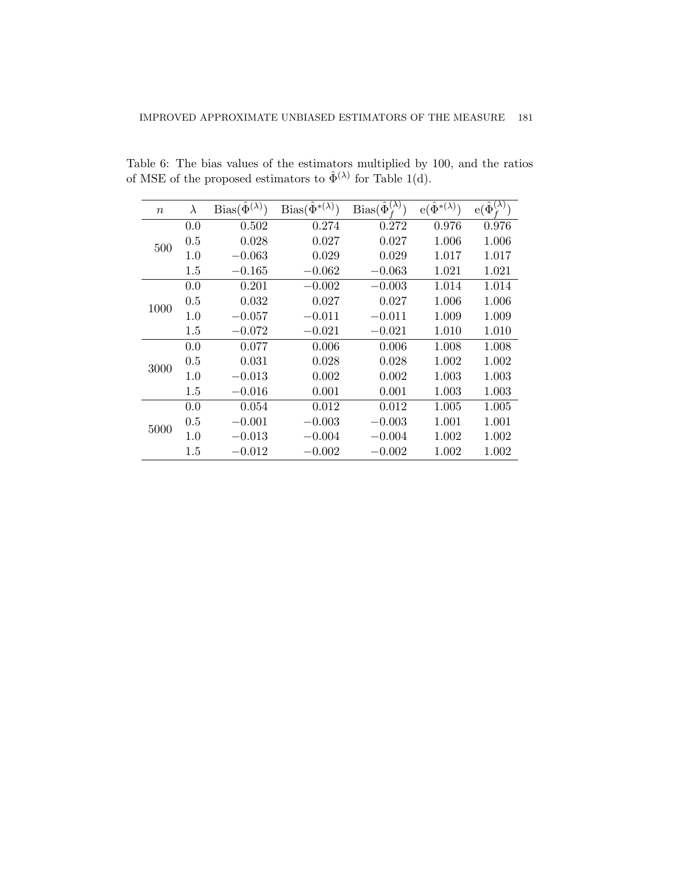| $\boldsymbol{n}$ | $\lambda$ | $Bias(\hat{\Phi}^{(\lambda)})$ | $Bias(\hat{\Phi}^{*(\lambda)})$ | $Bias(\widehat{\Phi}_{f}^{(\lambda)})$ | $e(\hat{\Phi}^{*(\lambda)})$ | $e(\hat{\Phi}^{\overline{(\lambda)}})$ |
|------------------|-----------|--------------------------------|---------------------------------|----------------------------------------|------------------------------|----------------------------------------|
|                  | 0.0       | 0.502                          | 0.274                           | 0.272                                  | 0.976                        | 0.976                                  |
| 500              | 0.5       | 0.028                          | 0.027                           | 0.027                                  | 1.006                        | 1.006                                  |
|                  | 1.0       | $-0.063$                       | 0.029                           | 0.029                                  | 1.017                        | 1.017                                  |
|                  | 1.5       | $-0.165$                       | $-0.062$                        | $-0.063$                               | 1.021                        | 1.021                                  |
|                  | 0.0       | 0.201                          | $-0.002$                        | $-0.003$                               | 1.014                        | 1.014                                  |
| 1000             | 0.5       | 0.032                          | 0.027                           | 0.027                                  | 1.006                        | 1.006                                  |
|                  | $1.0\,$   | $-0.057$                       | $-0.011$                        | $-0.011$                               | 1.009                        | 1.009                                  |
|                  | 1.5       | $-0.072$                       | $-0.021$                        | $-0.021$                               | 1.010                        | 1.010                                  |
|                  | 0.0       | 0.077                          | 0.006                           | 0.006                                  | 1.008                        | 1.008                                  |
| 3000             | 0.5       | 0.031                          | 0.028                           | 0.028                                  | 1.002                        | 1.002                                  |
|                  | 1.0       | $-0.013$                       | 0.002                           | 0.002                                  | 1.003                        | 1.003                                  |
|                  | 1.5       | $-0.016$                       | 0.001                           | 0.001                                  | 1.003                        | 1.003                                  |
| 5000             | 0.0       | 0.054                          | 0.012                           | 0.012                                  | 1.005                        | 1.005                                  |
|                  | 0.5       | $-0.001$                       | $-0.003$                        | $-0.003$                               | 1.001                        | 1.001                                  |
|                  | 1.0       | $-0.013$                       | $-0.004$                        | $-0.004$                               | 1.002                        | 1.002                                  |
|                  | 1.5       | $-0.012$                       | $-0.002$                        | $-0.002$                               | 1.002                        | 1.002                                  |

Table 6: The bias values of the estimators multiplied by 100, and the ratios of MSE of the proposed estimators to  $\hat{\Phi}^{(\lambda)}$  for Table [1\(](#page-10-0)d).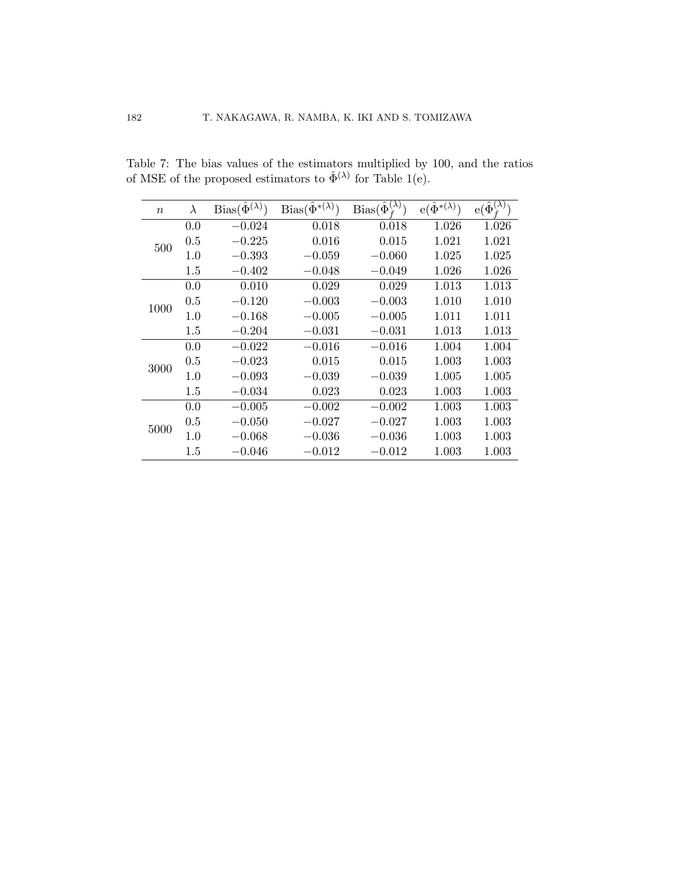| $\boldsymbol{n}$ | $\lambda$ | $Bias(\hat{\Phi}^{(\lambda)})$ | $Bias(\hat{\Phi}^{*(\lambda)})$ | $Bias(\hat{\Phi}_{f}^{(\lambda)})$ | $e(\hat{\Phi}^{*(\lambda)})$ | $e(\hat{\Phi}^{(\bar{\lambda})}$ |
|------------------|-----------|--------------------------------|---------------------------------|------------------------------------|------------------------------|----------------------------------|
|                  | 0.0       | $-0.024\,$                     | 0.018                           | 0.018                              | 1.026                        | 1.026                            |
| 500              | 0.5       | $-0.225$                       | 0.016                           | 0.015                              | 1.021                        | 1.021                            |
|                  | 1.0       | $-0.393$                       | $-0.059$                        | $-0.060$                           | 1.025                        | 1.025                            |
|                  | 1.5       | $-0.402$                       | $-0.048$                        | $-0.049$                           | 1.026                        | 1.026                            |
|                  | 0.0       | 0.010                          | 0.029                           | 0.029                              | 1.013                        | 1.013                            |
| 1000             | 0.5       | $-0.120$                       | $-0.003$                        | $-0.003$                           | 1.010                        | 1.010                            |
|                  | 1.0       | $-0.168$                       | $-0.005$                        | $-0.005$                           | 1.011                        | 1.011                            |
|                  | 1.5       | $-0.204$                       | $-0.031$                        | $-0.031$                           | 1.013                        | 1.013                            |
|                  | 0.0       | $-0.022$                       | $-0.016$                        | $-0.016$                           | 1.004                        | 1.004                            |
| 3000             | 0.5       | $-0.023$                       | 0.015                           | 0.015                              | 1.003                        | 1.003                            |
|                  | 1.0       | $-0.093$                       | $-0.039$                        | $-0.039$                           | 1.005                        | 1.005                            |
|                  | 1.5       | $-0.034$                       | 0.023                           | 0.023                              | 1.003                        | 1.003                            |
| 5000             | 0.0       | $-0.005$                       | $-0.002$                        | $-0.002$                           | 1.003                        | 1.003                            |
|                  | 0.5       | $-0.050$                       | $-0.027$                        | $-0.027$                           | 1.003                        | 1.003                            |
|                  | 1.0       | $-0.068$                       | $-0.036$                        | $-0.036$                           | 1.003                        | 1.003                            |
|                  | 1.5       | $-0.046$                       | $-0.012$                        | $-0.012$                           | 1.003                        | 1.003                            |

Table 7: The bias values of the estimators multiplied by 100, and the ratios of MSE of the proposed estimators to  $\hat{\Phi}^{(\lambda)}$  for Table [1\(](#page-10-0)e).